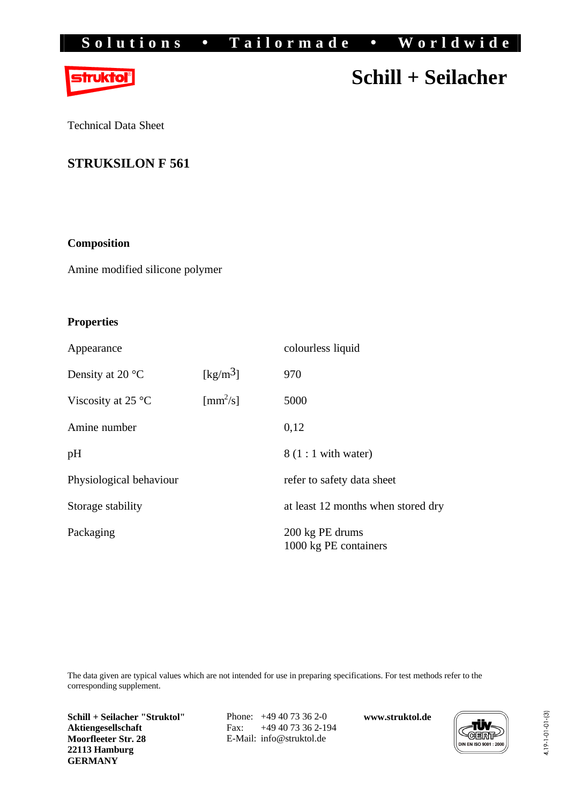## Solutions • Tailormade • Worldwide



# **Schill + Seilacher**

Technical Data Sheet

### **STRUKSILON F 561**

#### **Composition**

Amine modified silicone polymer

#### **Properties**

| Appearance                           |                          | colourless liquid                        |
|--------------------------------------|--------------------------|------------------------------------------|
| Density at 20 °C                     | [kg/m <sup>3</sup> ]     | 970                                      |
| Viscosity at 25 $\mathrm{^{\circ}C}$ | $\text{[mm}^2/\text{s}]$ | 5000                                     |
| Amine number                         |                          | 0,12                                     |
| pH                                   |                          | $8(1:1$ with water)                      |
| Physiological behaviour              |                          | refer to safety data sheet               |
| Storage stability                    |                          | at least 12 months when stored dry       |
| Packaging                            |                          | 200 kg PE drums<br>1000 kg PE containers |

The data given are typical values which are not intended for use in preparing specifications. For test methods refer to the corresponding supplement.

**Schill + Seilacher "Struktol" Aktiengesellschaft Moorfleeter Str. 28 22113 Hamburg GERMANY**

Phone: +49 40 73 36 2-0 Fax: +49 40 73 36 2-194 E-Mail: [info@struktol.de](mailto:info@struktol.de)

**www.struktol.de**